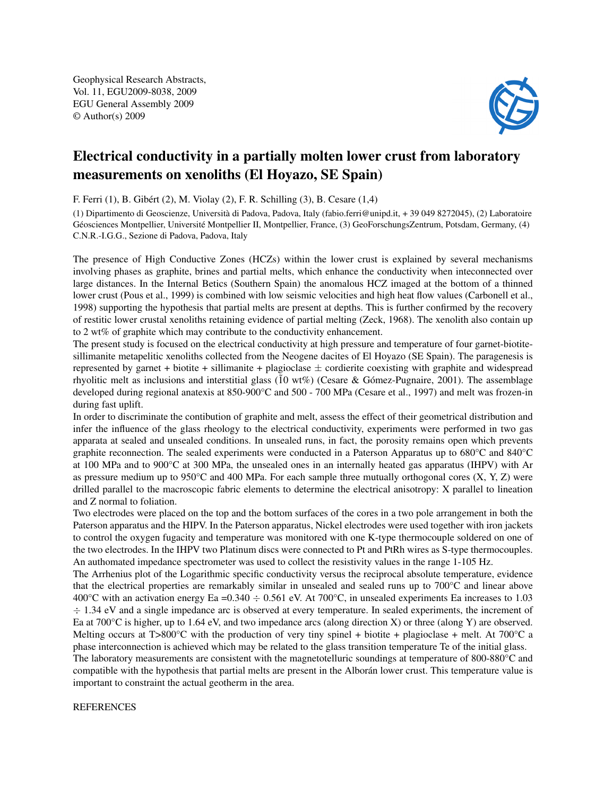Geophysical Research Abstracts, Vol. 11, EGU2009-8038, 2009 EGU General Assembly 2009 © Author(s) 2009



## Electrical conductivity in a partially molten lower crust from laboratory measurements on xenoliths (El Hoyazo, SE Spain)

F. Ferri (1), B. Gibért (2), M. Violay (2), F. R. Schilling (3), B. Cesare (1,4)

(1) Dipartimento di Geoscienze, Università di Padova, Padova, Italy (fabio.ferri@unipd.it, + 39 049 8272045), (2) Laboratoire Géosciences Montpellier, Université Montpellier II, Montpellier, France, (3) GeoForschungsZentrum, Potsdam, Germany, (4) C.N.R.-I.G.G., Sezione di Padova, Padova, Italy

The presence of High Conductive Zones (HCZs) within the lower crust is explained by several mechanisms involving phases as graphite, brines and partial melts, which enhance the conductivity when inteconnected over large distances. In the Internal Betics (Southern Spain) the anomalous HCZ imaged at the bottom of a thinned lower crust (Pous et al., 1999) is combined with low seismic velocities and high heat flow values (Carbonell et al., 1998) supporting the hypothesis that partial melts are present at depths. This is further confirmed by the recovery of restitic lower crustal xenoliths retaining evidence of partial melting (Zeck, 1968). The xenolith also contain up to 2 wt% of graphite which may contribute to the conductivity enhancement.

The present study is focused on the electrical conductivity at high pressure and temperature of four garnet-biotitesillimanite metapelitic xenoliths collected from the Neogene dacites of El Hoyazo (SE Spain). The paragenesis is represented by garnet + biotite + sillimanite + plagioclase  $\pm$  cordierite coexisting with graphite and widespread rhyolitic melt as inclusions and interstitial glass ( $10 \text{ wt\%}$ ) (Cesare & Gómez-Pugnaire, 2001). The assemblage developed during regional anatexis at 850-900°C and 500 - 700 MPa (Cesare et al., 1997) and melt was frozen-in during fast uplift.

In order to discriminate the contibution of graphite and melt, assess the effect of their geometrical distribution and infer the influence of the glass rheology to the electrical conductivity, experiments were performed in two gas apparata at sealed and unsealed conditions. In unsealed runs, in fact, the porosity remains open which prevents graphite reconnection. The sealed experiments were conducted in a Paterson Apparatus up to 680°C and 840°C at 100 MPa and to 900°C at 300 MPa, the unsealed ones in an internally heated gas apparatus (IHPV) with Ar as pressure medium up to 950°C and 400 MPa. For each sample three mutually orthogonal cores (X, Y, Z) were drilled parallel to the macroscopic fabric elements to determine the electrical anisotropy: X parallel to lineation and Z normal to foliation.

Two electrodes were placed on the top and the bottom surfaces of the cores in a two pole arrangement in both the Paterson apparatus and the HIPV. In the Paterson apparatus, Nickel electrodes were used together with iron jackets to control the oxygen fugacity and temperature was monitored with one K-type thermocouple soldered on one of the two electrodes. In the IHPV two Platinum discs were connected to Pt and PtRh wires as S-type thermocouples. An authomated impedance spectrometer was used to collect the resistivity values in the range 1-105 Hz.

The Arrhenius plot of the Logarithmic specific conductivity versus the reciprocal absolute temperature, evidence that the electrical properties are remarkably similar in unsealed and sealed runs up to 700°C and linear above 400°C with an activation energy Ea =0.340  $\div$  0.561 eV. At 700°C, in unsealed experiments Ea increases to 1.03 ÷ 1.34 eV and a single impedance arc is observed at every temperature. In sealed experiments, the increment of Ea at 700°C is higher, up to 1.64 eV, and two impedance arcs (along direction X) or three (along Y) are observed. Melting occurs at T>800 $^{\circ}$ C with the production of very tiny spinel + biotite + plagioclase + melt. At 700 $^{\circ}$ C a phase interconnection is achieved which may be related to the glass transition temperature Te of the initial glass.

The laboratory measurements are consistent with the magnetotelluric soundings at temperature of 800-880°C and compatible with the hypothesis that partial melts are present in the Alborán lower crust. This temperature value is important to constraint the actual geotherm in the area.

## REFERENCES